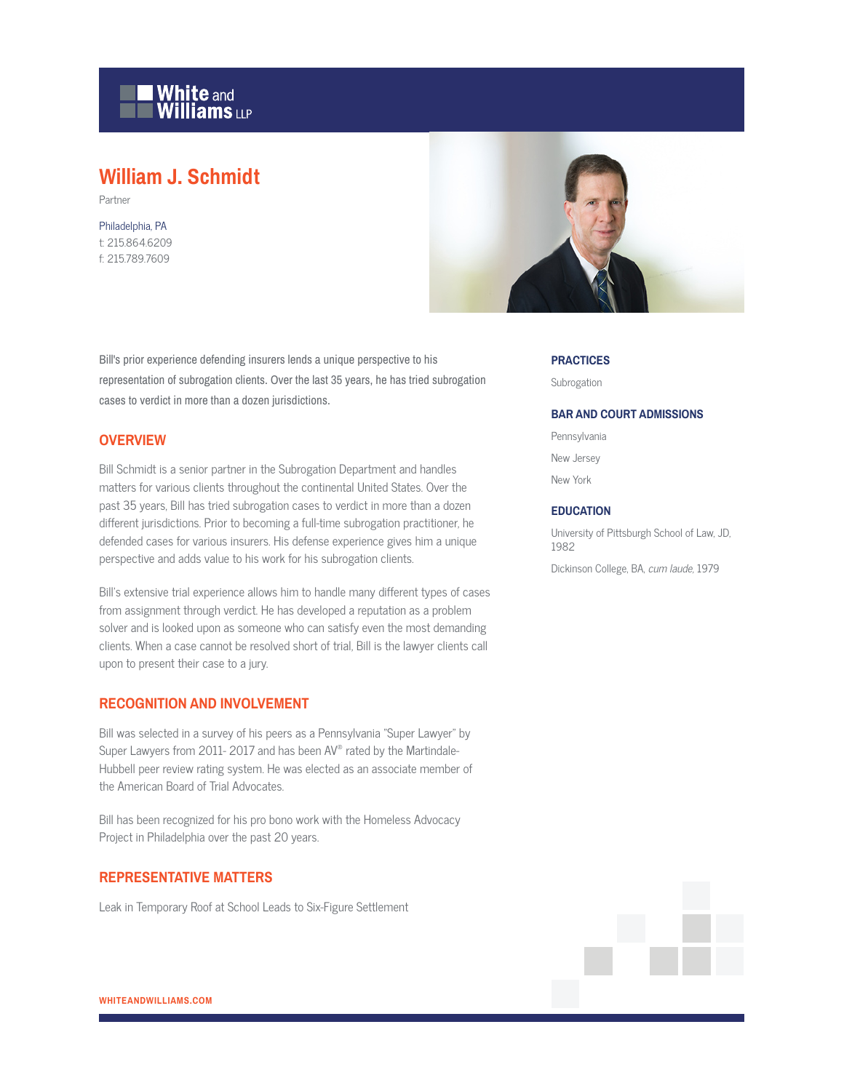

# **William J. Schmidt**

Partner

Philadelphia, PA t: 215.864.6209 f: 215.789.7609



Bill's prior experience defending insurers lends a unique perspective to his representation of subrogation clients. Over the last 35 years, he has tried subrogation cases to verdict in more than a dozen jurisdictions.

# **OVERVIEW**

Bill Schmidt is a senior partner in the Subrogation Department and handles matters for various clients throughout the continental United States. Over the past 35 years, Bill has tried subrogation cases to verdict in more than a dozen different jurisdictions. Prior to becoming a full-time subrogation practitioner, he defended cases for various insurers. His defense experience gives him a unique perspective and adds value to his work for his subrogation clients.

Bill's extensive trial experience allows him to handle many different types of cases from assignment through verdict. He has developed a reputation as a problem solver and is looked upon as someone who can satisfy even the most demanding clients. When a case cannot be resolved short of trial, Bill is the lawyer clients call upon to present their case to a jury.

# **RECOGNITION AND INVOLVEMENT**

Bill was selected in a survey of his peers as a Pennsylvania "Super Lawyer" by Super Lawyers from 2011- 2017 and has been AV® rated by the Martindale-Hubbell peer review rating system. He was elected as an associate member of the American Board of Trial Advocates.

Bill has been recognized for his pro bono work with the Homeless Advocacy Project in Philadelphia over the past 20 years.

## **REPRESENTATIVE MATTERS**

Leak in Temporary Roof at School Leads to Six-Figure Settlement

#### **PRACTICES**

Subrogation

#### **BAR AND COURT ADMISSIONS**

Pennsylvania New Jersey New York

#### **EDUCATION**

University of Pittsburgh School of Law, JD, 1982 Dickinson College, BA, cum laude, 1979